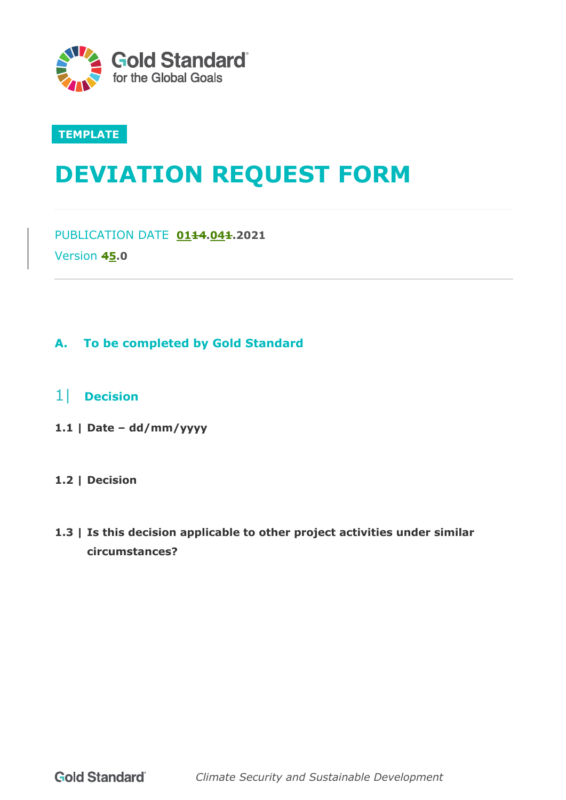

## **TEMPLATE**

# **DEVIATION REQUEST FORM**

PUBLICATION DATE **0114.041.2021** Version **45.0**

## **A. To be completed by Gold Standard**

- 1| **Decision**
- **1.1 | Date – dd/mm/yyyy**

## **1.2 | Decision**

**1.3 | Is this decision applicable to other project activities under similar circumstances?**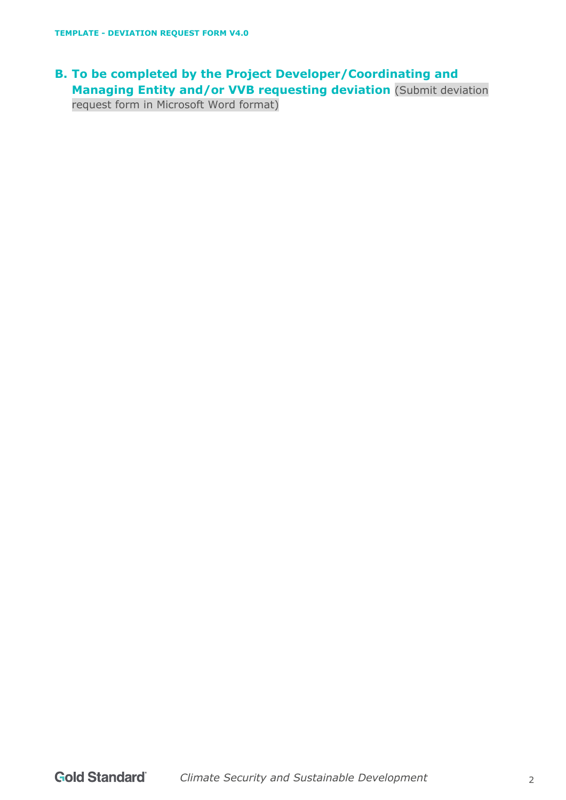## **B. To be completed by the Project Developer/Coordinating and Managing Entity and/or VVB requesting deviation** (Submit deviation request form in Microsoft Word format)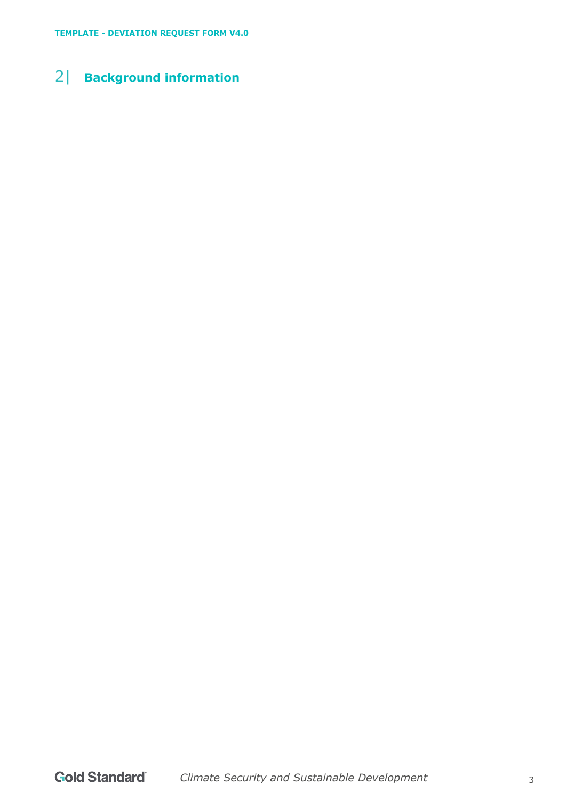## 2| **Background information**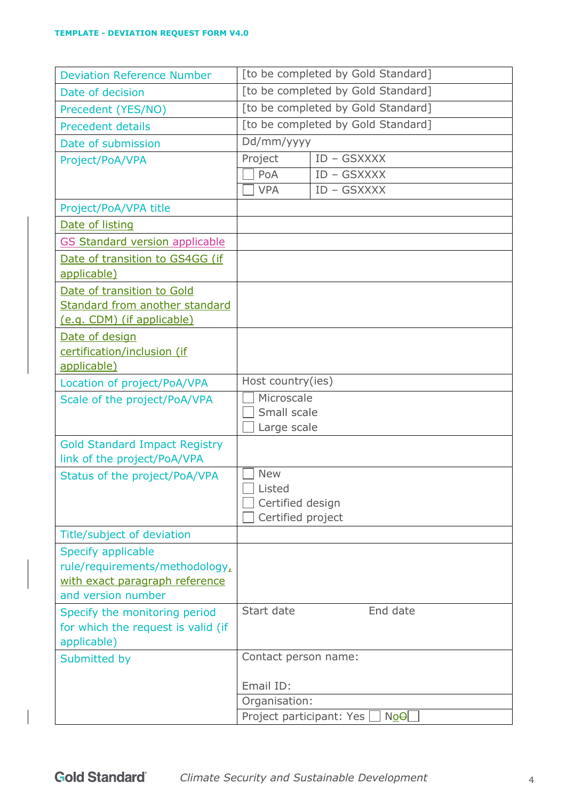| <b>Deviation Reference Number</b>                 |                                    | [to be completed by Gold Standard] |  |
|---------------------------------------------------|------------------------------------|------------------------------------|--|
| Date of decision                                  | [to be completed by Gold Standard] |                                    |  |
| Precedent (YES/NO)                                | [to be completed by Gold Standard] |                                    |  |
| <b>Precedent details</b>                          | [to be completed by Gold Standard] |                                    |  |
| Date of submission                                | Dd/mm/yyyy                         |                                    |  |
| Project/PoA/VPA                                   | Project                            | ID - GSXXXX                        |  |
|                                                   | PoA                                | ID - GSXXXX                        |  |
|                                                   | <b>VPA</b>                         | ID - GSXXXX                        |  |
| Project/PoA/VPA title                             |                                    |                                    |  |
| Date of listing                                   |                                    |                                    |  |
| <b>GS Standard version applicable</b>             |                                    |                                    |  |
| Date of transition to GS4GG (if                   |                                    |                                    |  |
| applicable)                                       |                                    |                                    |  |
| Date of transition to Gold                        |                                    |                                    |  |
| Standard from another standard                    |                                    |                                    |  |
| (e.g. CDM) (if applicable)                        |                                    |                                    |  |
| Date of design                                    |                                    |                                    |  |
| certification/inclusion (if                       |                                    |                                    |  |
| applicable)                                       |                                    |                                    |  |
| Location of project/PoA/VPA                       | Host country(ies)                  |                                    |  |
| Scale of the project/PoA/VPA                      | Microscale<br>Small scale          |                                    |  |
|                                                   | Large scale                        |                                    |  |
| <b>Gold Standard Impact Registry</b>              |                                    |                                    |  |
| link of the project/PoA/VPA                       |                                    |                                    |  |
| Status of the project/PoA/VPA                     | <b>New</b>                         |                                    |  |
|                                                   | Listed                             |                                    |  |
|                                                   | Certified design                   |                                    |  |
|                                                   | Certified project                  |                                    |  |
| Title/subject of deviation                        |                                    |                                    |  |
| Specify applicable                                |                                    |                                    |  |
| rule/requirements/methodology,                    |                                    |                                    |  |
| with exact paragraph reference                    |                                    |                                    |  |
| and version number                                |                                    |                                    |  |
| Specify the monitoring period                     | Start date                         | End date                           |  |
| for which the request is valid (if<br>applicable) |                                    |                                    |  |
| Submitted by                                      | Contact person name:               |                                    |  |
|                                                   |                                    |                                    |  |
|                                                   | Email ID:                          |                                    |  |
|                                                   | Organisation:                      |                                    |  |
|                                                   | Project participant: Yes           | $N0\Theta$                         |  |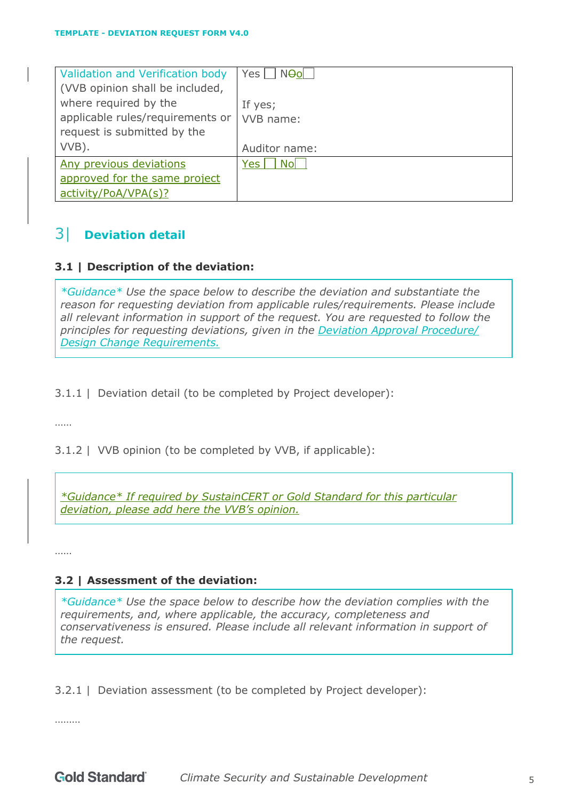| Validation and Verification body                          | Yes     N <del>O</del> ol |
|-----------------------------------------------------------|---------------------------|
| (VVB opinion shall be included,                           |                           |
| where required by the<br>applicable rules/requirements or | If yes;<br>VVB name:      |
| request is submitted by the                               |                           |
| VVB).                                                     | Auditor name:             |
| Any previous deviations                                   | Yes l<br>- Nol            |
| approved for the same project                             |                           |
| activity/PoA/VPA(s)?                                      |                           |

## 3| **Deviation detail**

## **3.1 | Description of the deviation:**

*\*Guidance\* Use the space below to describe the deviation and substantiate the reason for requesting deviation from applicable rules/requirements. Please include all relevant information in support of the request. You are requested to follow the principles for requesting deviations, given in the Deviation Approval Procedure/ Design Change Requirements.*

3.1.1 | Deviation detail (to be completed by Project developer):

……

3.1.2 | VVB opinion (to be completed by VVB, if applicable):

*\*Guidance\* If required by SustainCERT or Gold Standard for this particular deviation, please add here the VVB's opinion.*

……

## **3.2 | Assessment of the deviation:**

*\*Guidance\* Use the space below to describe how the deviation complies with the requirements, and, where applicable, the accuracy, completeness and conservativeness is ensured. Please include all relevant information in support of the request.*

3.2.1 | Deviation assessment (to be completed by Project developer):

………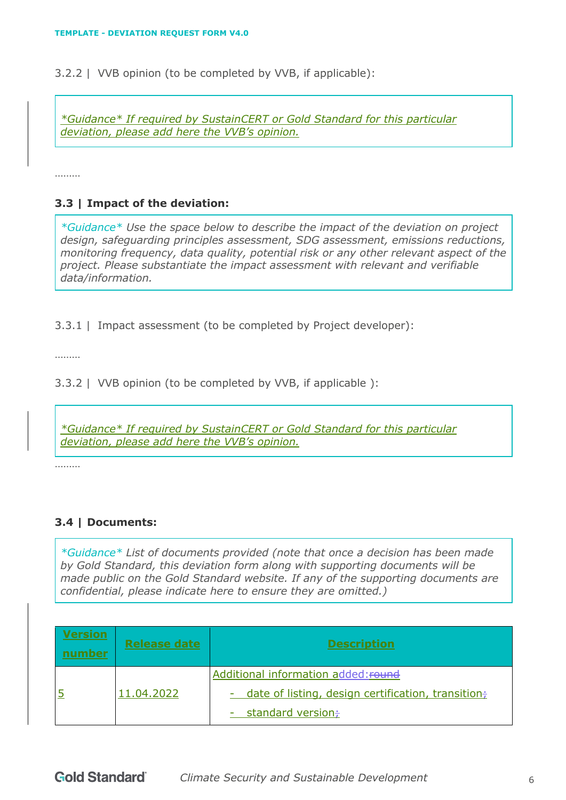3.2.2 | VVB opinion (to be completed by VVB, if applicable):

*\*Guidance\* If required by SustainCERT or Gold Standard for this particular deviation, please add here the VVB's opinion.*

………

## **3.3 | Impact of the deviation:**

*\*Guidance\* Use the space below to describe the impact of the deviation on project design, safeguarding principles assessment, SDG assessment, emissions reductions, monitoring frequency, data quality, potential risk or any other relevant aspect of the project. Please substantiate the impact assessment with relevant and verifiable data/information.*

3.3.1 | Impact assessment (to be completed by Project developer):

………

3.3.2 | VVB opinion (to be completed by VVB, if applicable ):

*\*Guidance\* If required by SustainCERT or Gold Standard for this particular deviation, please add here the VVB's opinion.*

………

## **3.4 | Documents:**

*\*Guidance\* List of documents provided (note that once a decision has been made by Gold Standard, this deviation form along with supporting documents will be made public on the Gold Standard website. If any of the supporting documents are confidential, please indicate here to ensure they are omitted.)*

| Version<br>ımher | <b>Release date</b> | <b>Description</b>                                                |
|------------------|---------------------|-------------------------------------------------------------------|
|                  |                     | Additional information added: round                               |
|                  | 11.04.2022          | - date of listing, design certification, transition $\frac{1}{t}$ |
|                  |                     | standard version÷                                                 |